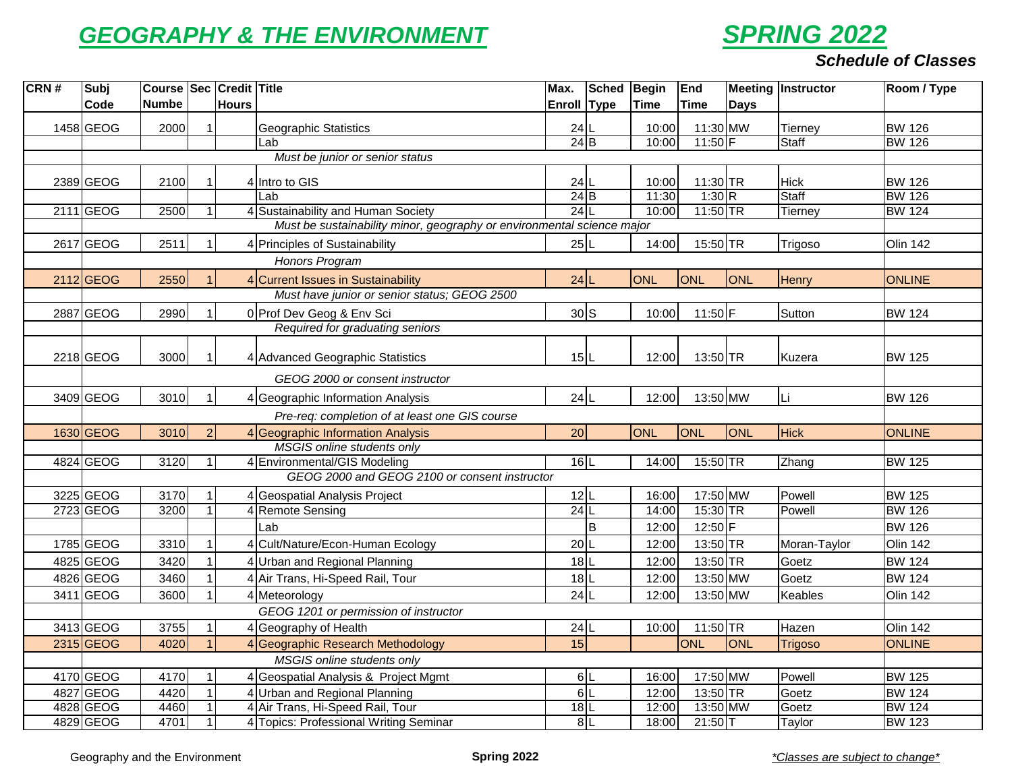## *GEOGRAPHY & THE ENVIRONMENT*



## *Schedule of Classes*

| CRN# | Subj        | Course Sec Credit Title |              |                                                                        | Max.        | Sched Begin |             | End        |             | <b>Meeting Instructor</b> | Room / Type     |
|------|-------------|-------------------------|--------------|------------------------------------------------------------------------|-------------|-------------|-------------|------------|-------------|---------------------------|-----------------|
|      | Code        | <b>Numbe</b>            | <b>Hours</b> |                                                                        | Enroll Type |             | <b>Time</b> | Time       | <b>Days</b> |                           |                 |
|      | 1458 GEOG   | 2000                    |              | <b>Geographic Statistics</b>                                           | $24$  L     |             | 10:00       | 11:30 MW   |             | Tierney                   | <b>BW 126</b>   |
|      |             |                         |              | Lab                                                                    | $24$ $B$    |             | 10:00       | $11:50$ F  |             | <b>Staff</b>              | <b>BW 126</b>   |
|      |             |                         |              | Must be junior or senior status                                        |             |             |             |            |             |                           |                 |
|      | 2389 GEOG   | 2100                    |              | 4 Intro to GIS                                                         | $24$ L      |             | 10:00       | 11:30 TR   |             | <b>Hick</b>               | <b>BW 126</b>   |
|      |             |                         |              | Lab                                                                    | $24$ $B$    |             | 11:30       | 1:30 R     |             | <b>Staff</b>              | <b>BW 126</b>   |
|      | 2111 GEOG   | 2500                    |              | 4 Sustainability and Human Society                                     | 24          |             | 10:00       | $11:50$ TR |             | <b>Tierney</b>            | <b>BW 124</b>   |
|      |             |                         |              | Must be sustainability minor, geography or environmental science major |             |             |             |            |             |                           |                 |
|      | 2617 GEOG   | 2511                    |              | 4 Principles of Sustainability                                         | 25L         |             | 14:00       | 15:50 TR   |             | Trigoso                   | <b>Olin 142</b> |
|      |             |                         |              | Honors Program                                                         |             |             |             |            |             |                           |                 |
|      | 2112 GEOG   | 2550                    |              | 4 Current Issues in Sustainability                                     | $24$  L     |             | <b>ONL</b>  | ONL        | ONL         | Henry                     | <b>ONLINE</b>   |
|      |             |                         |              | Must have junior or senior status; GEOG 2500                           |             |             |             |            |             |                           |                 |
|      | 2887 GEOG   | 2990                    |              | 0 Prof Dev Geog & Env Sci                                              |             | 30S         | 10:00       | 11:50 F    |             | Sutton                    | <b>BW 124</b>   |
|      |             |                         |              | Required for graduating seniors                                        |             |             |             |            |             |                           |                 |
|      |             |                         |              |                                                                        |             |             |             |            |             |                           |                 |
|      | 2218 GEOG   | 3000                    |              | 4 Advanced Geographic Statistics                                       | 15L         |             | 12:00       | 13:50 TR   |             | Kuzera                    | <b>BW 125</b>   |
|      |             |                         |              | GEOG 2000 or consent instructor                                        |             |             |             |            |             |                           |                 |
|      | 3409 GEOG   | 3010                    |              | 4 Geographic Information Analysis                                      | 24L         |             | 12:00       | 13:50 MW   |             | Li                        | <b>BW 126</b>   |
|      |             |                         |              | Pre-req: completion of at least one GIS course                         |             |             |             |            |             |                           |                 |
|      | 1630 GEOG   | 3010                    |              | 4 Geographic Information Analysis                                      | 20          |             | <b>ONL</b>  | ONL        | ONL         | <b>Hick</b>               | <b>ONLINE</b>   |
|      |             |                         |              | MSGIS online students only                                             |             |             |             |            |             |                           |                 |
|      | 4824 GEOG   | 3120                    |              | 4 Environmental/GIS Modeling                                           | 16L         |             | 14:00       | 15:50 TR   |             | Zhang                     | <b>BW 125</b>   |
|      |             |                         |              | GEOG 2000 and GEOG 2100 or consent instructor                          |             |             |             |            |             |                           |                 |
|      | 3225 GEOG   | 3170                    |              | 4 Geospatial Analysis Project                                          | 12L         |             | 16:00       | 17:50 MW   |             | Powell                    | <b>BW 125</b>   |
|      | 2723 GEOG   | 3200                    |              | 4 Remote Sensing                                                       | $24$        |             | 14:00       | 15:30 TR   |             | Powell                    | <b>BW 126</b>   |
|      |             |                         |              | Lab                                                                    |             | B           | 12:00       | 12:50 F    |             |                           | <b>BW 126</b>   |
|      | 1785 GEOG   | 3310                    |              | 4 Cult/Nature/Econ-Human Ecology                                       | 20 1        |             | 12:00       | 13:50 TR   |             | Moran-Taylor              | Olin 142        |
|      | 4825 GEOG   | 3420                    |              | 4 Urban and Regional Planning                                          | 18L         |             | 12:00       | 13:50 TR   |             | Goetz                     | <b>BW 124</b>   |
|      | 4826 GEOG   | 3460                    |              | 4 Air Trans, Hi-Speed Rail, Tour                                       | 18L         |             | 12:00       | 13:50 MW   |             | Goetz                     | <b>BW 124</b>   |
|      | 3411 GEOG   | 3600                    |              | 4 Meteorology                                                          | $24$ L      |             | 12:00       | 13:50 MW   |             | Keables                   | <b>Olin 142</b> |
|      |             |                         |              | GEOG 1201 or permission of instructor                                  |             |             |             |            |             |                           |                 |
|      | 3413 GEOG   | 3755                    |              | 4 Geography of Health                                                  | $24$ L      |             | 10:00       | 11:50 TR   |             | Hazen                     | Olin 142        |
|      | 2315 GEOG   | 4020                    |              | 4 Geographic Research Methodology                                      | 15          |             |             | <b>ONL</b> | ONL         | <b>Trigoso</b>            | <b>ONLINE</b>   |
|      |             |                         |              | MSGIS online students only                                             |             |             |             |            |             |                           |                 |
|      | $4170$ GEOG | 4170                    |              | 4 Geospatial Analysis & Project Mgmt                                   | 6 L         |             | 16:00       | 17:50 MW   |             | Powell                    | <b>BW 125</b>   |
|      | 4827 GEOG   | 4420                    |              | 4 Urban and Regional Planning                                          | 6 1         |             | 12:00       | 13:50 TR   |             | Goetz                     | <b>BW 124</b>   |
|      | 4828 GEOG   | 4460                    |              | 4 Air Trans, Hi-Speed Rail, Tour                                       | $18$        |             | 12:00       | 13:50 MW   |             | Goetz                     | <b>BW 124</b>   |
|      | 4829 GEOG   | 4701                    |              | 4 Topics: Professional Writing Seminar                                 |             | 8L          | 18:00       | $21:50$ T  |             | Taylor                    | <b>BW 123</b>   |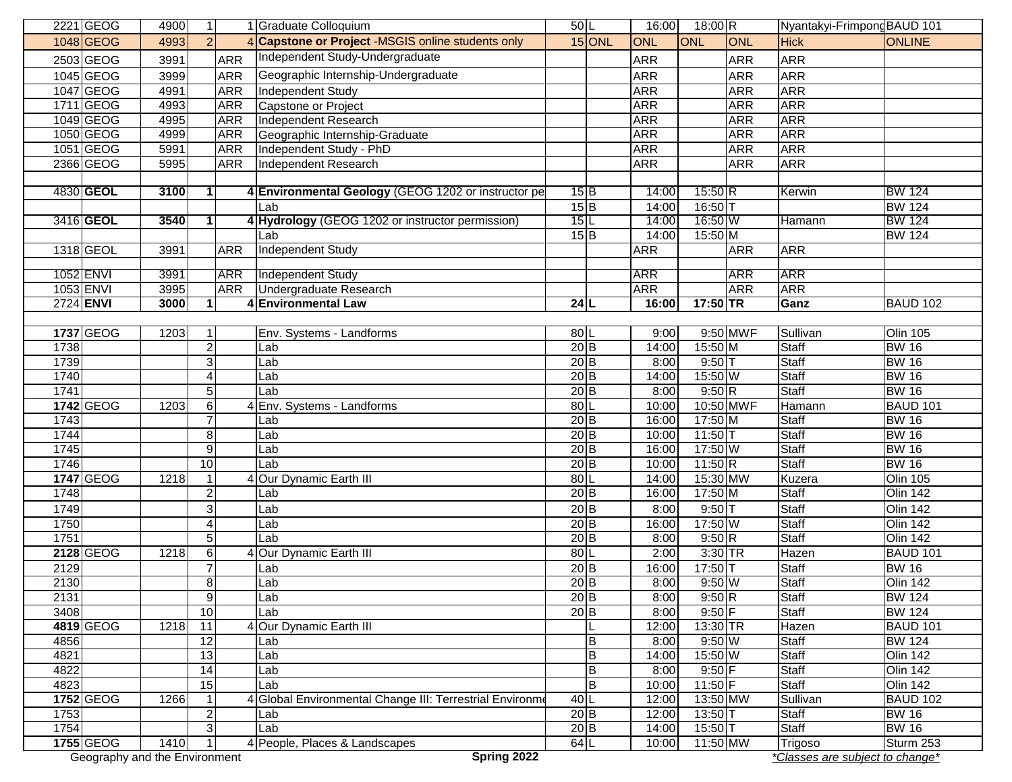|      | 2221 GEOG                     | 4900 | 11                    |            | 1 Graduate Colloquium                                    | 50L               |                | 16:00      | $18:00$ R  |            | Nyantakyi-Frimpong BAUD 101     |                 |
|------|-------------------------------|------|-----------------------|------------|----------------------------------------------------------|-------------------|----------------|------------|------------|------------|---------------------------------|-----------------|
|      | 1048 GEOG                     | 4993 | $\mathcal{P}$         |            | 4 Capstone or Project -MSGIS online students only        |                   | $15$ ONL       | ONL        | <b>ONL</b> | ONL        | <b>Hick</b>                     | <b>ONLINE</b>   |
|      | 2503 GEOG                     | 3991 |                       | <b>ARR</b> | Independent Study-Undergraduate                          |                   |                | <b>ARR</b> |            | <b>ARR</b> | <b>ARR</b>                      |                 |
|      | 1045 GEOG                     | 3999 |                       | <b>ARR</b> | Geographic Internship-Undergraduate                      |                   |                | <b>ARR</b> |            | <b>ARR</b> | <b>ARR</b>                      |                 |
|      | 1047 GEOG                     | 4991 |                       | <b>ARR</b> | <b>Independent Study</b>                                 |                   |                | <b>ARR</b> |            | <b>ARR</b> | <b>ARR</b>                      |                 |
|      | 1711 GEOG                     | 4993 |                       | <b>ARR</b> | Capstone or Project                                      |                   |                | <b>ARR</b> |            | <b>ARR</b> | <b>ARR</b>                      |                 |
|      | 1049 GEOG                     | 4995 |                       | <b>ARR</b> | <b>Independent Research</b>                              |                   |                | <b>ARR</b> |            | <b>ARR</b> | <b>ARR</b>                      |                 |
|      | 1050 GEOG                     | 4999 |                       | <b>ARR</b> | Geographic Internship-Graduate                           |                   |                | <b>ARR</b> |            | <b>ARR</b> | <b>ARR</b>                      |                 |
|      | 1051 GEOG                     | 5991 |                       | <b>ARR</b> | Independent Study - PhD                                  |                   |                | <b>ARR</b> |            | <b>ARR</b> | <b>ARR</b>                      |                 |
|      | 2366 GEOG                     | 5995 |                       | <b>ARR</b> | Independent Research                                     |                   |                | <b>ARR</b> |            | <b>ARR</b> | <b>ARR</b>                      |                 |
|      |                               |      |                       |            |                                                          |                   |                |            |            |            |                                 |                 |
|      | 4830 GEOL                     | 3100 | $\mathbf{1}$          |            | 4 Environmental Geology (GEOG 1202 or instructor pe      | 15 B              |                | 14:00      | $15:50$ R  |            | Kerwin                          | <b>BW 124</b>   |
|      |                               |      |                       |            | Lab                                                      | $15$ B            |                | 14:00      | 16:50T     |            |                                 | <b>BW 124</b>   |
|      | 3416 <b>GEOL</b>              | 3540 | 1                     |            | 4 Hydrology (GEOG 1202 or instructor permission)         | 15L               |                | 14:00      | 16:50 $W$  |            | Hamann                          | <b>BW 124</b>   |
|      |                               |      |                       |            | Lab                                                      | 15B               |                | 14:00      | 15:50 M    |            |                                 | <b>BW 124</b>   |
|      | 1318 GEOL                     | 3991 |                       | <b>ARR</b> | <b>Independent Study</b>                                 |                   |                | <b>ARR</b> |            | <b>ARR</b> | <b>ARR</b>                      |                 |
|      |                               |      |                       |            |                                                          |                   |                |            |            |            |                                 |                 |
|      | 1052 ENVI                     | 3991 |                       | <b>ARR</b> | <b>Independent Study</b>                                 |                   |                | <b>ARR</b> |            | <b>ARR</b> | <b>ARR</b>                      |                 |
|      | 1053 ENVI                     | 3995 |                       | <b>ARR</b> | Undergraduate Research                                   |                   |                | <b>ARR</b> |            | <b>ARR</b> | <b>ARR</b>                      |                 |
|      | 2724 ENVI                     | 3000 | 1                     |            | <b>4 Environmental Law</b>                               | 24 L              |                | 16:00      | 17:50 TR   |            | Ganz                            | <b>BAUD 102</b> |
|      |                               |      |                       |            |                                                          |                   |                |            |            |            |                                 |                 |
|      | 1737 GEOG                     | 1203 | 1                     |            | Env. Systems - Landforms                                 | 80L               |                | 9:00       |            | 9:50 MWF   | Sullivan                        | <b>Olin 105</b> |
| 1738 |                               |      | $\overline{2}$        |            | Lab                                                      | 20B               |                | 14:00      | 15:50 M    |            | Staff                           | <b>BW 16</b>    |
| 1739 |                               |      | ω                     |            | Lab                                                      | $20$ <sub>B</sub> |                | 8:00       | $9:50$ T   |            | <b>Staff</b>                    | <b>BW 16</b>    |
| 1740 |                               |      | $\boldsymbol{\Delta}$ |            | Lab                                                      | $20$ <sub>B</sub> |                | 14:00      | 15:50 W    |            | <b>Staff</b>                    | <b>BW 16</b>    |
| 1741 |                               |      | $\overline{5}$        |            | Lab                                                      | $20$ <sub>B</sub> |                | 8:00       | 9:50 R     |            | <b>Staff</b>                    | <b>BW 16</b>    |
|      | 1742 GEOG                     | 1203 | 6                     |            | 4 Env. Systems - Landforms                               | 80L               |                | 10:00      | 10:50 MWF  |            | Hamann                          | <b>BAUD 101</b> |
| 1743 |                               |      | $\overline{7}$        |            | Lab                                                      | $20$ <sub>B</sub> |                | 16:00      | 17:50 M    |            | <b>Staff</b>                    | <b>BW 16</b>    |
| 1744 |                               |      |                       |            |                                                          | 20 B              |                |            |            |            | Staff                           | <b>BW 16</b>    |
| 1745 |                               |      | 8                     |            | Lab                                                      |                   |                | 10:00      | 11:50 $T$  |            | <b>Staff</b>                    | <b>BW 16</b>    |
|      |                               |      | 9                     |            | Lab                                                      | 20B               |                | 16:00      | 17:50 W    |            |                                 |                 |
| 1746 |                               |      | 10                    |            | Lab                                                      | $20$ <sub>B</sub> |                | 10:00      | 11:50 $R$  |            | <b>Staff</b>                    | <b>BW 16</b>    |
|      | 1747 GEOG                     | 1218 | $\mathbf{1}$          |            | Our Dynamic Earth III                                    | 80L               |                | 14:00      | 15:30 MW   |            | Kuzera                          | <b>Olin 105</b> |
| 1748 |                               |      | $\overline{2}$        |            | Lab                                                      | 20B               |                | 16:00      | 17:50 M    |            | Staff                           | <b>Olin 142</b> |
| 1749 |                               |      | 3                     |            | Lab                                                      | $20$ B            |                | 8:00       | $9:50$ T   |            | <b>Staff</b>                    | <b>Olin 142</b> |
| 1750 |                               |      | $\overline{4}$        |            | Lab                                                      | $20$ <sub>B</sub> |                | 16:00      | 17:50 W    |            | <b>Staff</b>                    | <b>Olin 142</b> |
| 1751 |                               |      | $\overline{5}$        |            | Lab                                                      | 20 B              |                | 8:00       | 9:50R      |            | <b>Staff</b>                    | <b>Olin 142</b> |
|      | 2128 GEOG                     | 1218 | $\,6$                 |            | 4 Our Dynamic Earth III                                  | 80L               |                | 2:00       | 3:30 TR    |            | Hazen                           | <b>BAUD 101</b> |
| 2129 |                               |      | $\overline{7}$        |            | Lab                                                      | $20$ <sub>B</sub> |                | 16:00      | 17:50T     |            | <b>Staff</b>                    | <b>BW 16</b>    |
| 2130 |                               |      | 8                     |            | Lab                                                      | $20$ <sub>B</sub> |                | 8:00       | $9:50$ W   |            | <b>Staff</b>                    | <b>Olin 142</b> |
| 2131 |                               |      | 9                     |            | Lab                                                      | 20 B              |                | 8:00       | 9:50 R     |            | <b>Staff</b>                    | <b>BW 124</b>   |
| 3408 |                               |      | 10                    |            | Lab                                                      | $20$ <sub>B</sub> |                | 8:00       | $9:50$ F   |            | Staff                           | <b>BW 124</b>   |
|      | 4819 GEOG                     | 1218 | 11                    |            | Our Dynamic Earth III                                    |                   |                | 12:00      | 13:30 TR   |            | Hazen                           | <b>BAUD 101</b> |
| 4856 |                               |      | 12                    |            | Lab                                                      |                   | B              | 8:00       | 9:50W      |            | <b>Staff</b>                    | <b>BW 124</b>   |
| 4821 |                               |      | 13                    |            | Lab                                                      |                   | $\overline{B}$ | 14:00      | 15:50 W    |            | <b>Staff</b>                    | <b>Olin 142</b> |
| 4822 |                               |      | $\overline{14}$       |            | Lab                                                      |                   | $\sf B$        | 8:00       | $9:50$ F   |            | <b>Staff</b>                    | <b>Olin 142</b> |
| 4823 |                               |      | 15                    |            | Lab                                                      |                   | $\overline{B}$ | 10:00      | $11:50$ F  |            | <b>Staff</b>                    | <b>Olin 142</b> |
|      | 1752 GEOG                     | 1266 | $\mathbf{1}$          |            | 4 Global Environmental Change III: Terrestrial Environme | 40L               |                | 12:00      | 13:50 MW   |            | Sullivan                        | <b>BAUD 102</b> |
| 1753 |                               |      | $\overline{2}$        |            | Lab                                                      | 20B               |                | 12:00      | 13:50      |            | Staff                           | <b>BW 16</b>    |
| 1754 |                               |      | 3                     |            | Lab                                                      | $20$ <sub>B</sub> |                | 14:00      | $15:50$ T  |            | Staff                           | <b>BW 16</b>    |
|      | 1755 GEOG                     | 1410 | 1                     |            | 4 People, Places & Landscapes                            | 64L               |                | 10:00      | $11:50$ MW |            | Trigoso                         | Sturm 253       |
|      | Geography and the Environment |      |                       |            | Spring 2022                                              |                   |                |            |            |            | *Classes are subject to change* |                 |